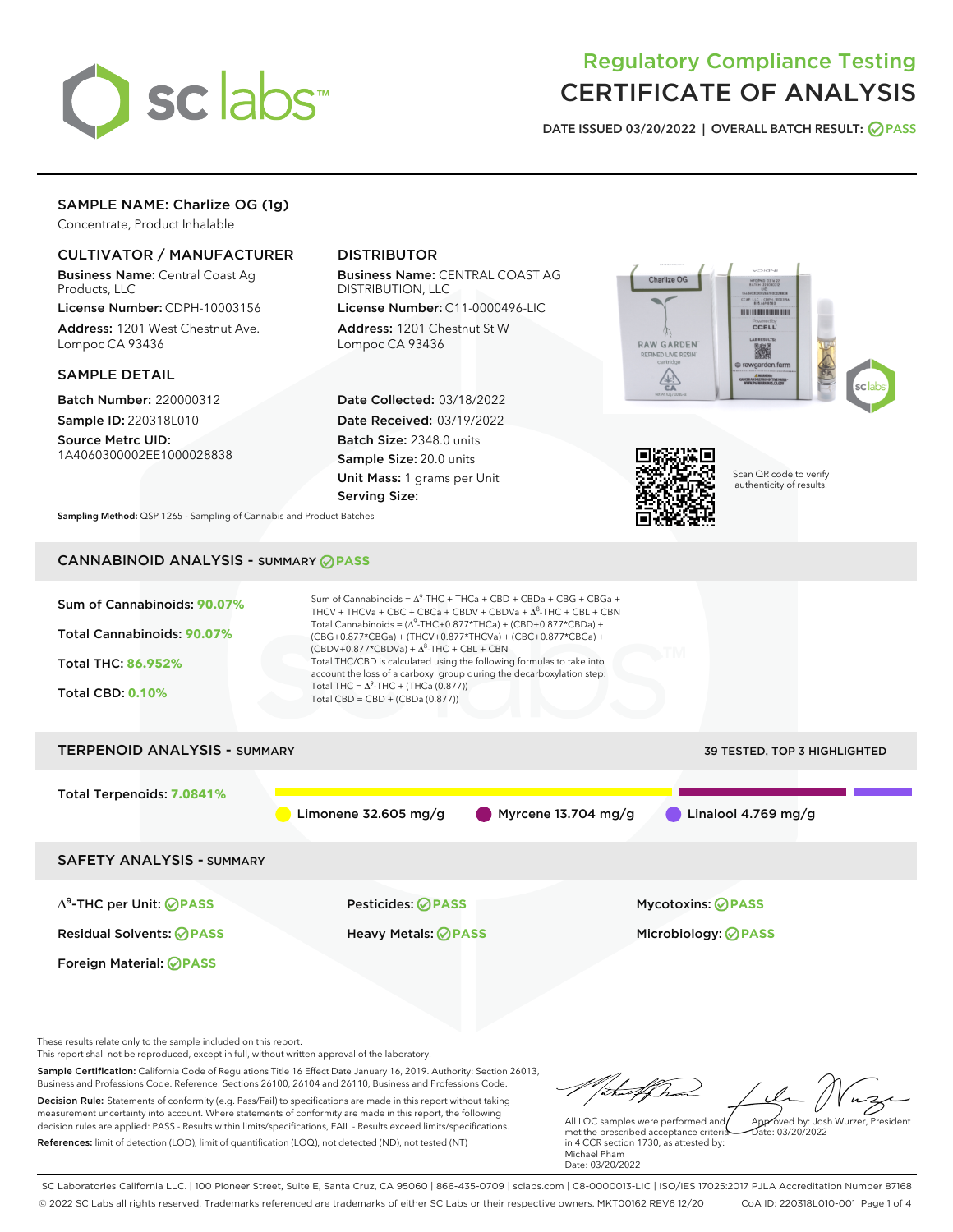

# Regulatory Compliance Testing CERTIFICATE OF ANALYSIS

DATE ISSUED 03/20/2022 | OVERALL BATCH RESULT: @ PASS

## SAMPLE NAME: Charlize OG (1g)

Concentrate, Product Inhalable

## CULTIVATOR / MANUFACTURER

Business Name: Central Coast Ag Products, LLC

License Number: CDPH-10003156 Address: 1201 West Chestnut Ave. Lompoc CA 93436

#### SAMPLE DETAIL

Batch Number: 220000312 Sample ID: 220318L010

Source Metrc UID: 1A4060300002EE1000028838

## DISTRIBUTOR

Business Name: CENTRAL COAST AG DISTRIBUTION, LLC

License Number: C11-0000496-LIC Address: 1201 Chestnut St W Lompoc CA 93436

Date Collected: 03/18/2022 Date Received: 03/19/2022 Batch Size: 2348.0 units Sample Size: 20.0 units Unit Mass: 1 grams per Unit Serving Size:





Scan QR code to verify authenticity of results.

Sampling Method: QSP 1265 - Sampling of Cannabis and Product Batches

## CANNABINOID ANALYSIS - SUMMARY **PASS**



These results relate only to the sample included on this report.

This report shall not be reproduced, except in full, without written approval of the laboratory.

Sample Certification: California Code of Regulations Title 16 Effect Date January 16, 2019. Authority: Section 26013, Business and Professions Code. Reference: Sections 26100, 26104 and 26110, Business and Professions Code. Decision Rule: Statements of conformity (e.g. Pass/Fail) to specifications are made in this report without taking measurement uncertainty into account. Where statements of conformity are made in this report, the following decision rules are applied: PASS - Results within limits/specifications, FAIL - Results exceed limits/specifications.

References: limit of detection (LOD), limit of quantification (LOQ), not detected (ND), not tested (NT)

tuffter Approved by: Josh Wurzer, President

 $ate: 03/20/2022$ 

All LQC samples were performed and met the prescribed acceptance criteria in 4 CCR section 1730, as attested by: Michael Pham Date: 03/20/2022

SC Laboratories California LLC. | 100 Pioneer Street, Suite E, Santa Cruz, CA 95060 | 866-435-0709 | sclabs.com | C8-0000013-LIC | ISO/IES 17025:2017 PJLA Accreditation Number 87168 © 2022 SC Labs all rights reserved. Trademarks referenced are trademarks of either SC Labs or their respective owners. MKT00162 REV6 12/20 CoA ID: 220318L010-001 Page 1 of 4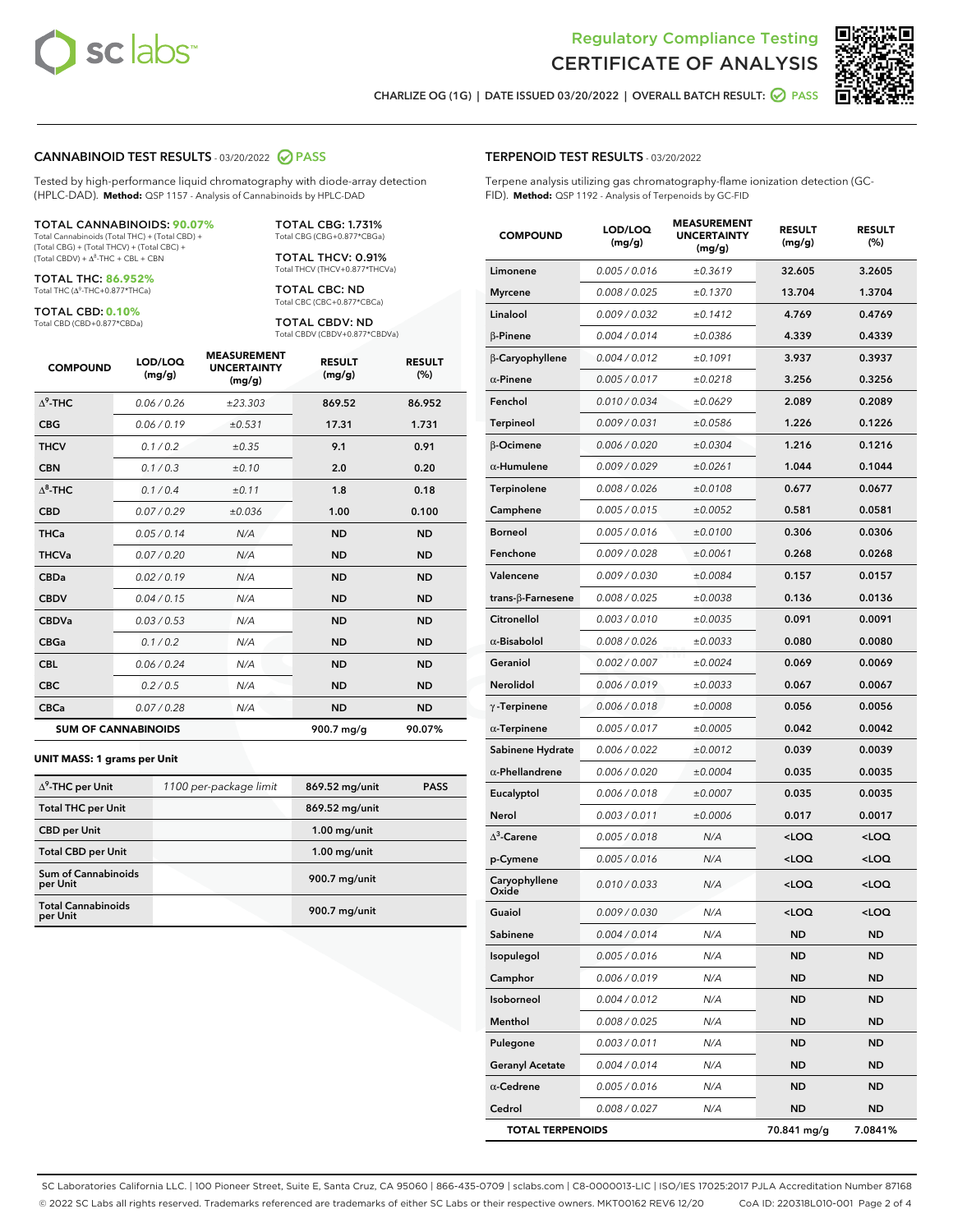



CHARLIZE OG (1G) | DATE ISSUED 03/20/2022 | OVERALL BATCH RESULT:  $\bigcirc$  PASS

#### CANNABINOID TEST RESULTS - 03/20/2022 2 PASS

Tested by high-performance liquid chromatography with diode-array detection (HPLC-DAD). **Method:** QSP 1157 - Analysis of Cannabinoids by HPLC-DAD

#### TOTAL CANNABINOIDS: **90.07%**

Total Cannabinoids (Total THC) + (Total CBD) + (Total CBG) + (Total THCV) + (Total CBC) +  $(Total CBDV) +  $\Delta^8$ -THC + CBL + CBN$ 

TOTAL THC: **86.952%** Total THC (Δ<sup>9</sup>-THC+0.877\*THCa)

TOTAL CBD: **0.10%**

Total CBD (CBD+0.877\*CBDa)

TOTAL CBG: 1.731% Total CBG (CBG+0.877\*CBGa)

TOTAL THCV: 0.91% Total THCV (THCV+0.877\*THCVa)

TOTAL CBC: ND Total CBC (CBC+0.877\*CBCa)

TOTAL CBDV: ND Total CBDV (CBDV+0.877\*CBDVa)

| <b>COMPOUND</b>  | LOD/LOQ<br>(mg/g)          | <b>MEASUREMENT</b><br><b>UNCERTAINTY</b><br>(mg/g) | <b>RESULT</b><br>(mg/g) | <b>RESULT</b><br>(%) |
|------------------|----------------------------|----------------------------------------------------|-------------------------|----------------------|
| $\Lambda^9$ -THC | 0.06 / 0.26                | ±23.303                                            | 869.52                  | 86.952               |
| <b>CBG</b>       | 0.06/0.19                  | ±0.531                                             | 17.31                   | 1.731                |
| <b>THCV</b>      | 0.1 / 0.2                  | ±0.35                                              | 9.1                     | 0.91                 |
| <b>CBN</b>       | 0.1/0.3                    | ±0.10                                              | 2.0                     | 0.20                 |
| $\Lambda^8$ -THC | 0.1/0.4                    | ±0.11                                              | 1.8                     | 0.18                 |
| <b>CBD</b>       | 0.07/0.29                  | ±0.036                                             | 1.00                    | 0.100                |
| <b>THCa</b>      | 0.05/0.14                  | N/A                                                | <b>ND</b>               | <b>ND</b>            |
| <b>THCVa</b>     | 0.07/0.20                  | N/A                                                | <b>ND</b>               | <b>ND</b>            |
| <b>CBDa</b>      | 0.02/0.19                  | N/A                                                | <b>ND</b>               | <b>ND</b>            |
| <b>CBDV</b>      | 0.04 / 0.15                | N/A                                                | <b>ND</b>               | <b>ND</b>            |
| <b>CBDVa</b>     | 0.03/0.53                  | N/A                                                | <b>ND</b>               | <b>ND</b>            |
| <b>CBGa</b>      | 0.1/0.2                    | N/A                                                | <b>ND</b>               | <b>ND</b>            |
| <b>CBL</b>       | 0.06 / 0.24                | N/A                                                | <b>ND</b>               | <b>ND</b>            |
| <b>CBC</b>       | 0.2 / 0.5                  | N/A                                                | <b>ND</b>               | <b>ND</b>            |
| <b>CBCa</b>      | 0.07/0.28                  | N/A                                                | <b>ND</b>               | <b>ND</b>            |
|                  | <b>SUM OF CANNABINOIDS</b> |                                                    | 900.7 mg/g              | 90.07%               |

#### **UNIT MASS: 1 grams per Unit**

| $\Delta^9$ -THC per Unit               | 1100 per-package limit | 869.52 mg/unit | <b>PASS</b> |
|----------------------------------------|------------------------|----------------|-------------|
| <b>Total THC per Unit</b>              |                        | 869.52 mg/unit |             |
| <b>CBD per Unit</b>                    |                        | $1.00$ mg/unit |             |
| <b>Total CBD per Unit</b>              |                        | $1.00$ mg/unit |             |
| <b>Sum of Cannabinoids</b><br>per Unit |                        | 900.7 mg/unit  |             |
| <b>Total Cannabinoids</b><br>per Unit  |                        | 900.7 mg/unit  |             |

#### TERPENOID TEST RESULTS - 03/20/2022

Terpene analysis utilizing gas chromatography-flame ionization detection (GC-FID). **Method:** QSP 1192 - Analysis of Terpenoids by GC-FID

| <b>COMPOUND</b>           | LOD/LOQ<br>(mg/g) | <b>MEASUREMENT</b><br><b>UNCERTAINTY</b><br>(mg/g) | <b>RESULT</b><br>(mg/g)                         | <b>RESULT</b><br>(%) |
|---------------------------|-------------------|----------------------------------------------------|-------------------------------------------------|----------------------|
| Limonene                  | 0.005 / 0.016     | ±0.3619                                            | 32.605                                          | 3.2605               |
| <b>Myrcene</b>            | 0.008 / 0.025     | ±0.1370                                            | 13.704                                          | 1.3704               |
| Linalool                  | 0.009 / 0.032     | ±0.1412                                            | 4.769                                           | 0.4769               |
| $\beta$ -Pinene           | 0.004 / 0.014     | ±0.0386                                            | 4.339                                           | 0.4339               |
| β-Caryophyllene           | 0.004 / 0.012     | ±0.1091                                            | 3.937                                           | 0.3937               |
| $\alpha$ -Pinene          | 0.005 / 0.017     | ±0.0218                                            | 3.256                                           | 0.3256               |
| Fenchol                   | 0.010 / 0.034     | ±0.0629                                            | 2.089                                           | 0.2089               |
| <b>Terpineol</b>          | 0.009 / 0.031     | ±0.0586                                            | 1.226                                           | 0.1226               |
| β-Ocimene                 | 0.006 / 0.020     | ±0.0304                                            | 1.216                                           | 0.1216               |
| $\alpha$ -Humulene        | 0.009 / 0.029     | ±0.0261                                            | 1.044                                           | 0.1044               |
| Terpinolene               | 0.008 / 0.026     | ±0.0108                                            | 0.677                                           | 0.0677               |
| Camphene                  | 0.005 / 0.015     | ±0.0052                                            | 0.581                                           | 0.0581               |
| <b>Borneol</b>            | 0.005 / 0.016     | ±0.0100                                            | 0.306                                           | 0.0306               |
| Fenchone                  | 0.009 / 0.028     | ±0.0061                                            | 0.268                                           | 0.0268               |
| Valencene                 | 0.009 / 0.030     | ±0.0084                                            | 0.157                                           | 0.0157               |
| trans- $\beta$ -Farnesene | 0.008 / 0.025     | ±0.0038                                            | 0.136                                           | 0.0136               |
| Citronellol               | 0.003 / 0.010     | ±0.0035                                            | 0.091                                           | 0.0091               |
| $\alpha$ -Bisabolol       | 0.008 / 0.026     | ±0.0033                                            | 0.080                                           | 0.0080               |
| Geraniol                  | 0.002 / 0.007     | ±0.0024                                            | 0.069                                           | 0.0069               |
| Nerolidol                 | 0.006 / 0.019     | ±0.0033                                            | 0.067                                           | 0.0067               |
| $\gamma$ -Terpinene       | 0.006 / 0.018     | ±0.0008                                            | 0.056                                           | 0.0056               |
| $\alpha$ -Terpinene       | 0.005 / 0.017     | ±0.0005                                            | 0.042                                           | 0.0042               |
| Sabinene Hydrate          | 0.006 / 0.022     | ±0.0012                                            | 0.039                                           | 0.0039               |
| $\alpha$ -Phellandrene    | 0.006 / 0.020     | ±0.0004                                            | 0.035                                           | 0.0035               |
| Eucalyptol                | 0.006 / 0.018     | ±0.0007                                            | 0.035                                           | 0.0035               |
| Nerol                     | 0.003 / 0.011     | ±0.0006                                            | 0.017                                           | 0.0017               |
| $\Delta^3$ -Carene        | 0.005 / 0.018     | N/A                                                | <loq< th=""><th><loq< th=""></loq<></th></loq<> | <loq< th=""></loq<>  |
| p-Cymene                  | 0.005 / 0.016     | N/A                                                | <loq< th=""><th><loq< th=""></loq<></th></loq<> | <loq< th=""></loq<>  |
| Caryophyllene<br>Oxide    | 0.010 / 0.033     | N/A                                                | <loq< th=""><th><loq< th=""></loq<></th></loq<> | <loq< th=""></loq<>  |
| Guaiol                    | 0.009 / 0.030     | N/A                                                | <loq< th=""><th><loq< th=""></loq<></th></loq<> | <loq< th=""></loq<>  |
| Sabinene                  | 0.004 / 0.014     | N/A                                                | ND                                              | ND                   |
| Isopulegol                | 0.005 / 0.016     | N/A                                                | ND                                              | ND                   |
| Camphor                   | 0.006 / 0.019     | N/A                                                | <b>ND</b>                                       | ND                   |
| Isoborneol                | 0.004 / 0.012     | N/A                                                | ND                                              | ND                   |
| Menthol                   | 0.008 / 0.025     | N/A                                                | ND                                              | ND                   |
| Pulegone                  | 0.003 / 0.011     | N/A                                                | <b>ND</b>                                       | ND                   |
| <b>Geranyl Acetate</b>    | 0.004 / 0.014     | N/A                                                | ND                                              | ND                   |
| $\alpha$ -Cedrene         | 0.005 / 0.016     | N/A                                                | ND                                              | ND                   |
| Cedrol                    | 0.008 / 0.027     | N/A                                                | <b>ND</b>                                       | ND                   |
| <b>TOTAL TERPENOIDS</b>   |                   |                                                    | 70.841 mg/g                                     | 7.0841%              |

SC Laboratories California LLC. | 100 Pioneer Street, Suite E, Santa Cruz, CA 95060 | 866-435-0709 | sclabs.com | C8-0000013-LIC | ISO/IES 17025:2017 PJLA Accreditation Number 87168 © 2022 SC Labs all rights reserved. Trademarks referenced are trademarks of either SC Labs or their respective owners. MKT00162 REV6 12/20 CoA ID: 220318L010-001 Page 2 of 4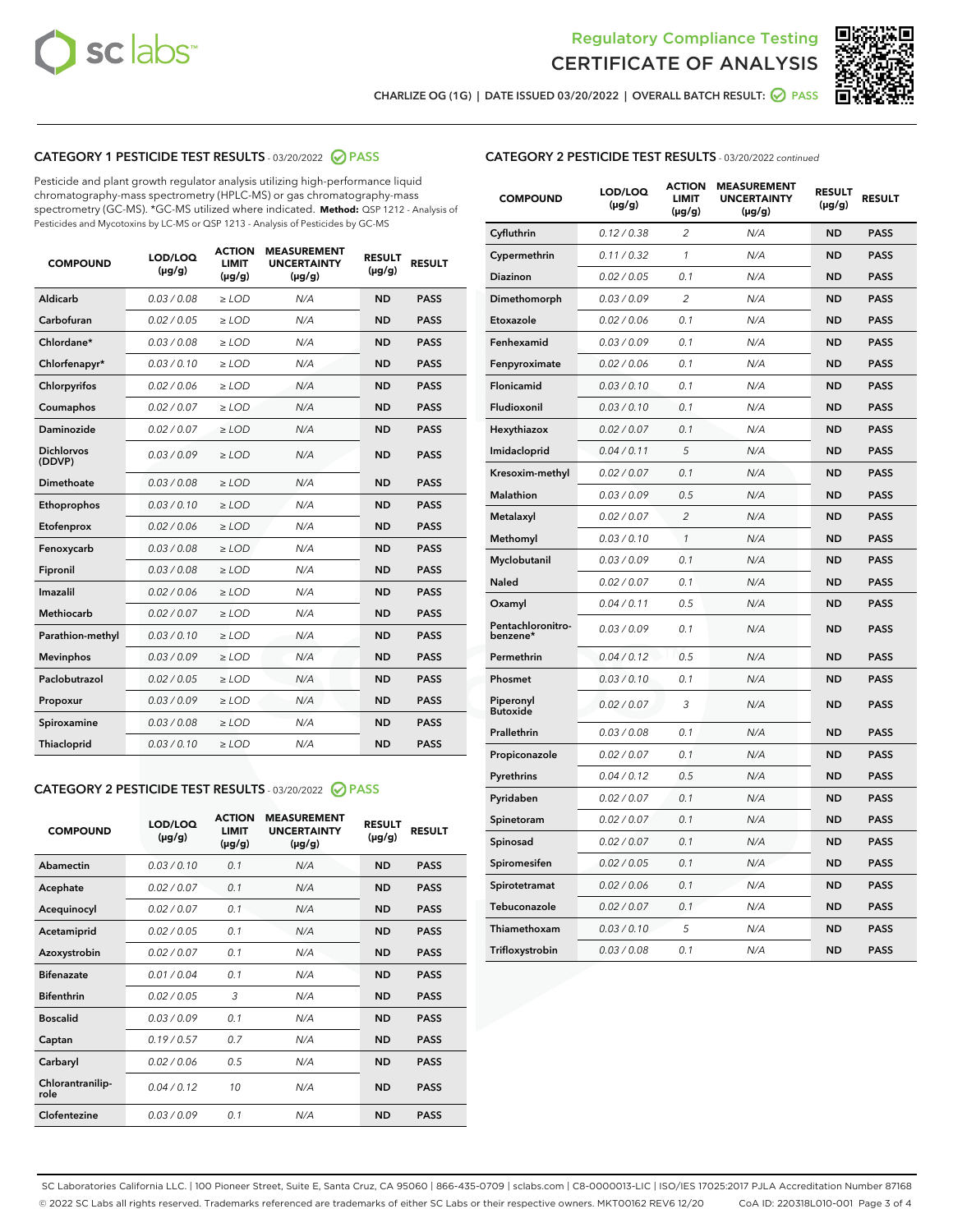



CHARLIZE OG (1G) | DATE ISSUED 03/20/2022 | OVERALL BATCH RESULT:  $\bigcirc$  PASS

## CATEGORY 1 PESTICIDE TEST RESULTS - 03/20/2022 2 PASS

Pesticide and plant growth regulator analysis utilizing high-performance liquid chromatography-mass spectrometry (HPLC-MS) or gas chromatography-mass spectrometry (GC-MS). \*GC-MS utilized where indicated. **Method:** QSP 1212 - Analysis of Pesticides and Mycotoxins by LC-MS or QSP 1213 - Analysis of Pesticides by GC-MS

| <b>COMPOUND</b>             | <b>LOD/LOQ</b><br>$(\mu g/g)$ | <b>ACTION</b><br><b>LIMIT</b><br>$(\mu g/g)$ | <b>MEASUREMENT</b><br><b>UNCERTAINTY</b><br>$(\mu g/g)$ | <b>RESULT</b><br>$(\mu g/g)$ | <b>RESULT</b> |
|-----------------------------|-------------------------------|----------------------------------------------|---------------------------------------------------------|------------------------------|---------------|
| <b>Aldicarb</b>             | 0.03 / 0.08                   | $\geq$ LOD                                   | N/A                                                     | <b>ND</b>                    | <b>PASS</b>   |
| Carbofuran                  | 0.02 / 0.05                   | $\ge$ LOD                                    | N/A                                                     | <b>ND</b>                    | <b>PASS</b>   |
| Chlordane*                  | 0.03/0.08                     | $>$ LOD                                      | N/A                                                     | <b>ND</b>                    | <b>PASS</b>   |
| Chlorfenapyr*               | 0.03/0.10                     | $\ge$ LOD                                    | N/A                                                     | <b>ND</b>                    | <b>PASS</b>   |
| Chlorpyrifos                | 0.02/0.06                     | $>$ LOD                                      | N/A                                                     | <b>ND</b>                    | <b>PASS</b>   |
| Coumaphos                   | 0.02 / 0.07                   | $\ge$ LOD                                    | N/A                                                     | <b>ND</b>                    | <b>PASS</b>   |
| Daminozide                  | 0.02 / 0.07                   | $\ge$ LOD                                    | N/A                                                     | <b>ND</b>                    | <b>PASS</b>   |
| <b>Dichlorvos</b><br>(DDVP) | 0.03/0.09                     | $>$ LOD                                      | N/A                                                     | <b>ND</b>                    | <b>PASS</b>   |
| Dimethoate                  | 0.03/0.08                     | $>$ LOD                                      | N/A                                                     | <b>ND</b>                    | <b>PASS</b>   |
| Ethoprophos                 | 0.03/0.10                     | $>$ LOD                                      | N/A                                                     | <b>ND</b>                    | <b>PASS</b>   |
| Etofenprox                  | 0.02 / 0.06                   | $\ge$ LOD                                    | N/A                                                     | <b>ND</b>                    | <b>PASS</b>   |
| Fenoxycarb                  | 0.03/0.08                     | $>$ LOD                                      | N/A                                                     | <b>ND</b>                    | <b>PASS</b>   |
| Fipronil                    | 0.03/0.08                     | $\ge$ LOD                                    | N/A                                                     | <b>ND</b>                    | <b>PASS</b>   |
| Imazalil                    | 0.02 / 0.06                   | $\ge$ LOD                                    | N/A                                                     | <b>ND</b>                    | <b>PASS</b>   |
| Methiocarb                  | 0.02 / 0.07                   | $\ge$ LOD                                    | N/A                                                     | <b>ND</b>                    | <b>PASS</b>   |
| Parathion-methyl            | 0.03/0.10                     | $>$ LOD                                      | N/A                                                     | <b>ND</b>                    | <b>PASS</b>   |
| <b>Mevinphos</b>            | 0.03/0.09                     | $\ge$ LOD                                    | N/A                                                     | <b>ND</b>                    | <b>PASS</b>   |
| Paclobutrazol               | 0.02 / 0.05                   | $\ge$ LOD                                    | N/A                                                     | <b>ND</b>                    | <b>PASS</b>   |
| Propoxur                    | 0.03/0.09                     | $\ge$ LOD                                    | N/A                                                     | <b>ND</b>                    | <b>PASS</b>   |
| Spiroxamine                 | 0.03 / 0.08                   | $\ge$ LOD                                    | N/A                                                     | <b>ND</b>                    | <b>PASS</b>   |
| Thiacloprid                 | 0.03/0.10                     | $\ge$ LOD                                    | N/A                                                     | <b>ND</b>                    | <b>PASS</b>   |

## CATEGORY 2 PESTICIDE TEST RESULTS - 03/20/2022 2 PASS

| <b>COMPOUND</b>          | LOD/LOO<br>$(\mu g/g)$ | <b>ACTION</b><br><b>LIMIT</b><br>(µg/g) | <b>MEASUREMENT</b><br><b>UNCERTAINTY</b><br>$(\mu g/g)$ | <b>RESULT</b><br>$(\mu g/g)$ | <b>RESULT</b> |  |
|--------------------------|------------------------|-----------------------------------------|---------------------------------------------------------|------------------------------|---------------|--|
| Abamectin                | 0.03/0.10              | 0.1                                     | N/A                                                     | <b>ND</b>                    | <b>PASS</b>   |  |
| Acephate                 | 0.02/0.07              | 0.1                                     | N/A                                                     | <b>ND</b>                    | <b>PASS</b>   |  |
| Acequinocyl              | 0.02/0.07              | 0.1                                     | N/A                                                     | <b>ND</b>                    | <b>PASS</b>   |  |
| Acetamiprid              | 0.02/0.05              | 0.1                                     | N/A                                                     | <b>ND</b>                    | <b>PASS</b>   |  |
| Azoxystrobin             | 0.02/0.07              | 0.1                                     | N/A                                                     | <b>ND</b>                    | <b>PASS</b>   |  |
| <b>Bifenazate</b>        | 0.01/0.04              | 0.1                                     | N/A                                                     | <b>ND</b>                    | <b>PASS</b>   |  |
| <b>Bifenthrin</b>        | 0.02/0.05              | 3                                       | N/A                                                     | <b>ND</b>                    | <b>PASS</b>   |  |
| <b>Boscalid</b>          | 0.03/0.09              | 0.1                                     | N/A                                                     | <b>ND</b>                    | <b>PASS</b>   |  |
| Captan                   | 0.19/0.57              | 0.7                                     | N/A                                                     | <b>ND</b>                    | <b>PASS</b>   |  |
| Carbaryl                 | 0.02/0.06              | 0.5                                     | N/A                                                     | <b>ND</b>                    | <b>PASS</b>   |  |
| Chlorantranilip-<br>role | 0.04/0.12              | 10                                      | N/A                                                     | <b>ND</b>                    | <b>PASS</b>   |  |
| Clofentezine             | 0.03/0.09              | 0.1                                     | N/A                                                     | <b>ND</b>                    | <b>PASS</b>   |  |

## CATEGORY 2 PESTICIDE TEST RESULTS - 03/20/2022 continued

| <b>COMPOUND</b>               | LOD/LOQ<br>(µg/g) | <b>ACTION</b><br><b>LIMIT</b><br>(µg/g) | <b>MEASUREMENT</b><br><b>UNCERTAINTY</b><br>$(\mu g/g)$ | <b>RESULT</b><br>(µg/g) | <b>RESULT</b> |
|-------------------------------|-------------------|-----------------------------------------|---------------------------------------------------------|-------------------------|---------------|
| Cyfluthrin                    | 0.12 / 0.38       | $\overline{c}$                          | N/A                                                     | ND                      | <b>PASS</b>   |
| Cypermethrin                  | 0.11 / 0.32       | $\mathcal{I}$                           | N/A                                                     | <b>ND</b>               | PASS          |
| <b>Diazinon</b>               | 0.02 / 0.05       | 0.1                                     | N/A                                                     | <b>ND</b>               | <b>PASS</b>   |
| Dimethomorph                  | 0.03 / 0.09       | 2                                       | N/A                                                     | ND                      | PASS          |
| Etoxazole                     | 0.02 / 0.06       | 0.1                                     | N/A                                                     | <b>ND</b>               | PASS          |
| Fenhexamid                    | 0.03 / 0.09       | 0.1                                     | N/A                                                     | <b>ND</b>               | <b>PASS</b>   |
| Fenpyroximate                 | 0.02 / 0.06       | 0.1                                     | N/A                                                     | <b>ND</b>               | <b>PASS</b>   |
| Flonicamid                    | 0.03 / 0.10       | 0.1                                     | N/A                                                     | <b>ND</b>               | <b>PASS</b>   |
| Fludioxonil                   | 0.03 / 0.10       | 0.1                                     | N/A                                                     | <b>ND</b>               | PASS          |
| Hexythiazox                   | 0.02 / 0.07       | 0.1                                     | N/A                                                     | <b>ND</b>               | <b>PASS</b>   |
| Imidacloprid                  | 0.04 / 0.11       | 5                                       | N/A                                                     | ND                      | <b>PASS</b>   |
| Kresoxim-methyl               | 0.02 / 0.07       | 0.1                                     | N/A                                                     | <b>ND</b>               | <b>PASS</b>   |
| <b>Malathion</b>              | 0.03 / 0.09       | 0.5                                     | N/A                                                     | <b>ND</b>               | <b>PASS</b>   |
| Metalaxyl                     | 0.02 / 0.07       | $\overline{c}$                          | N/A                                                     | <b>ND</b>               | PASS          |
| Methomyl                      | 0.03 / 0.10       | $\mathcal{I}$                           | N/A                                                     | <b>ND</b>               | <b>PASS</b>   |
| Myclobutanil                  | 0.03 / 0.09       | 0.1                                     | N/A                                                     | <b>ND</b>               | <b>PASS</b>   |
| Naled                         | 0.02 / 0.07       | 0.1                                     | N/A                                                     | <b>ND</b>               | <b>PASS</b>   |
| Oxamyl                        | 0.04 / 0.11       | 0.5                                     | N/A                                                     | ND                      | PASS          |
| Pentachloronitro-<br>benzene* | 0.03 / 0.09       | 0.1                                     | N/A                                                     | <b>ND</b>               | <b>PASS</b>   |
| Permethrin                    | 0.04 / 0.12       | 0.5                                     | N/A                                                     | <b>ND</b>               | <b>PASS</b>   |
| Phosmet                       | 0.03 / 0.10       | 0.1                                     | N/A                                                     | ND                      | <b>PASS</b>   |
| Piperonyl<br><b>Butoxide</b>  | 0.02 / 0.07       | 3                                       | N/A                                                     | ND                      | <b>PASS</b>   |
| Prallethrin                   | 0.03 / 0.08       | 0.1                                     | N/A                                                     | <b>ND</b>               | <b>PASS</b>   |
| Propiconazole                 | 0.02 / 0.07       | 0.1                                     | N/A                                                     | <b>ND</b>               | <b>PASS</b>   |
| Pyrethrins                    | 0.04 / 0.12       | 0.5                                     | N/A                                                     | ND                      | <b>PASS</b>   |
| Pyridaben                     | 0.02 / 0.07       | 0.1                                     | N/A                                                     | <b>ND</b>               | <b>PASS</b>   |
| Spinetoram                    | 0.02 / 0.07       | 0.1                                     | N/A                                                     | ND                      | <b>PASS</b>   |
| Spinosad                      | 0.02 / 0.07       | 0.1                                     | N/A                                                     | <b>ND</b>               | PASS          |
| Spiromesifen                  | 0.02 / 0.05       | 0.1                                     | N/A                                                     | <b>ND</b>               | <b>PASS</b>   |
| Spirotetramat                 | 0.02 / 0.06       | 0.1                                     | N/A                                                     | <b>ND</b>               | <b>PASS</b>   |
| Tebuconazole                  | 0.02 / 0.07       | 0.1                                     | N/A                                                     | ND                      | <b>PASS</b>   |
| Thiamethoxam                  | 0.03 / 0.10       | 5                                       | N/A                                                     | ND                      | <b>PASS</b>   |
| Trifloxystrobin               | 0.03 / 0.08       | 0.1                                     | N/A                                                     | <b>ND</b>               | <b>PASS</b>   |

SC Laboratories California LLC. | 100 Pioneer Street, Suite E, Santa Cruz, CA 95060 | 866-435-0709 | sclabs.com | C8-0000013-LIC | ISO/IES 17025:2017 PJLA Accreditation Number 87168 © 2022 SC Labs all rights reserved. Trademarks referenced are trademarks of either SC Labs or their respective owners. MKT00162 REV6 12/20 CoA ID: 220318L010-001 Page 3 of 4